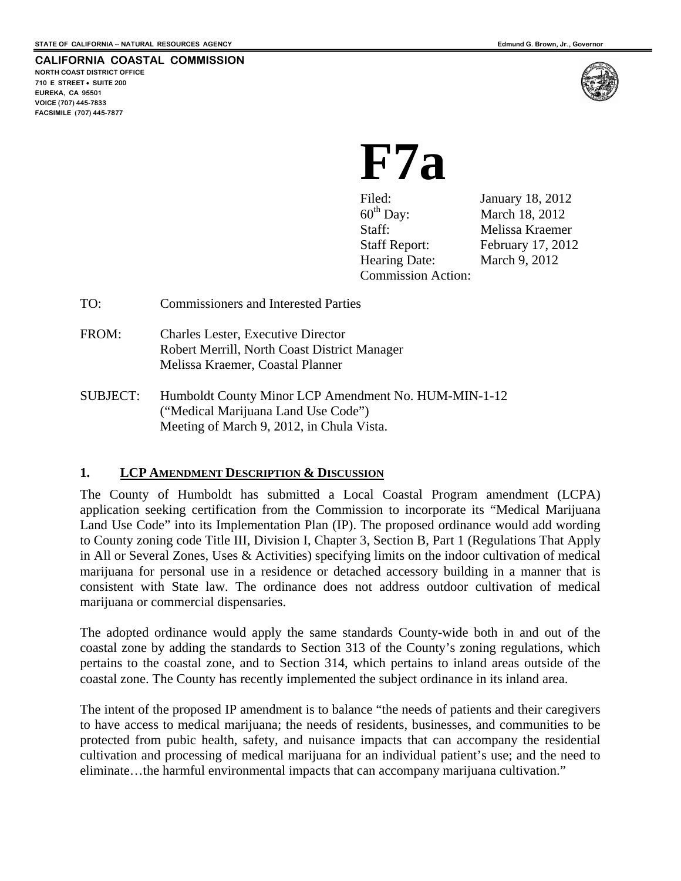# **CALIFORNIA COASTAL COMMISSION**

**NORTH COAST DISTRICT OFFICE 710 E STREET SUITE 200 EUREKA, CA 95501 VOICE (707) 445-7833 FACSIMILE (707) 445-7877** 



# **F7a**

 $60<sup>th</sup>$  Day: March 18, 2012 Staff: Melissa Kraemer Hearing Date: March 9, 2012 Commission Action:

Filed: January 18, 2012 Staff Report: February 17, 2012

- TO: Commissioners and Interested Parties
- FROM: Charles Lester, Executive Director Robert Merrill, North Coast District Manager Melissa Kraemer, Coastal Planner
- SUBJECT: Humboldt County Minor LCP Amendment No. HUM-MIN-1-12 ("Medical Marijuana Land Use Code") Meeting of March 9, 2012, in Chula Vista.

# **1. LCP AMENDMENT DESCRIPTION & DISCUSSION**

The County of Humboldt has submitted a Local Coastal Program amendment (LCPA) application seeking certification from the Commission to incorporate its "Medical Marijuana Land Use Code" into its Implementation Plan (IP). The proposed ordinance would add wording to County zoning code Title III, Division I, Chapter 3, Section B, Part 1 (Regulations That Apply in All or Several Zones, Uses & Activities) specifying limits on the indoor cultivation of medical marijuana for personal use in a residence or detached accessory building in a manner that is consistent with State law. The ordinance does not address outdoor cultivation of medical marijuana or commercial dispensaries.

The adopted ordinance would apply the same standards County-wide both in and out of the coastal zone by adding the standards to Section 313 of the County's zoning regulations, which pertains to the coastal zone, and to Section 314, which pertains to inland areas outside of the coastal zone. The County has recently implemented the subject ordinance in its inland area.

The intent of the proposed IP amendment is to balance "the needs of patients and their caregivers to have access to medical marijuana; the needs of residents, businesses, and communities to be protected from pubic health, safety, and nuisance impacts that can accompany the residential cultivation and processing of medical marijuana for an individual patient's use; and the need to eliminate…the harmful environmental impacts that can accompany marijuana cultivation."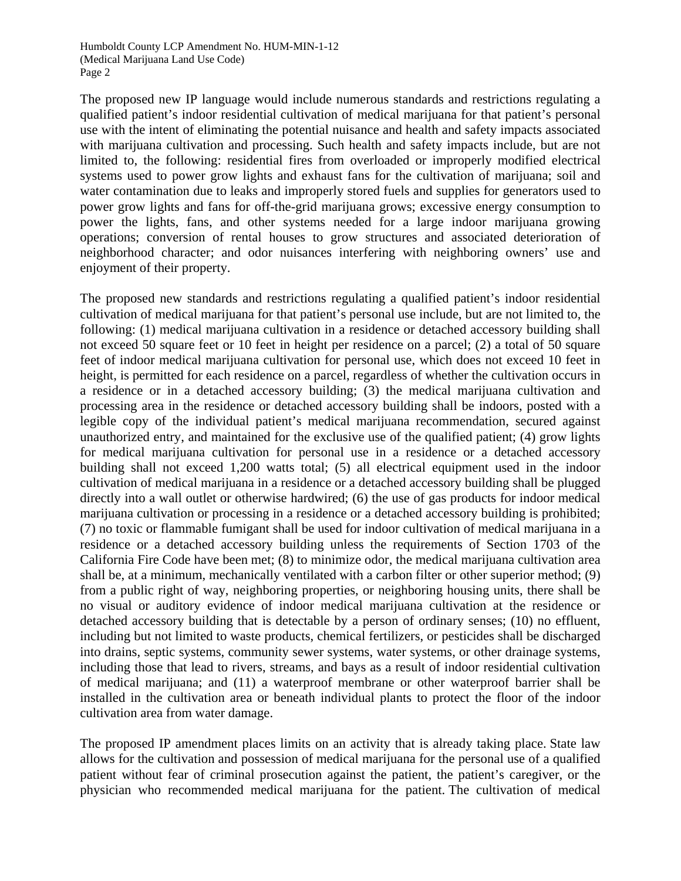The proposed new IP language would include numerous standards and restrictions regulating a qualified patient's indoor residential cultivation of medical marijuana for that patient's personal use with the intent of eliminating the potential nuisance and health and safety impacts associated with marijuana cultivation and processing. Such health and safety impacts include, but are not limited to, the following: residential fires from overloaded or improperly modified electrical systems used to power grow lights and exhaust fans for the cultivation of marijuana; soil and water contamination due to leaks and improperly stored fuels and supplies for generators used to power grow lights and fans for off-the-grid marijuana grows; excessive energy consumption to power the lights, fans, and other systems needed for a large indoor marijuana growing operations; conversion of rental houses to grow structures and associated deterioration of neighborhood character; and odor nuisances interfering with neighboring owners' use and enjoyment of their property.

The proposed new standards and restrictions regulating a qualified patient's indoor residential cultivation of medical marijuana for that patient's personal use include, but are not limited to, the following: (1) medical marijuana cultivation in a residence or detached accessory building shall not exceed 50 square feet or 10 feet in height per residence on a parcel; (2) a total of 50 square feet of indoor medical marijuana cultivation for personal use, which does not exceed 10 feet in height, is permitted for each residence on a parcel, regardless of whether the cultivation occurs in a residence or in a detached accessory building; (3) the medical marijuana cultivation and processing area in the residence or detached accessory building shall be indoors, posted with a legible copy of the individual patient's medical marijuana recommendation, secured against unauthorized entry, and maintained for the exclusive use of the qualified patient; (4) grow lights for medical marijuana cultivation for personal use in a residence or a detached accessory building shall not exceed 1,200 watts total; (5) all electrical equipment used in the indoor cultivation of medical marijuana in a residence or a detached accessory building shall be plugged directly into a wall outlet or otherwise hardwired; (6) the use of gas products for indoor medical marijuana cultivation or processing in a residence or a detached accessory building is prohibited; (7) no toxic or flammable fumigant shall be used for indoor cultivation of medical marijuana in a residence or a detached accessory building unless the requirements of Section 1703 of the California Fire Code have been met; (8) to minimize odor, the medical marijuana cultivation area shall be, at a minimum, mechanically ventilated with a carbon filter or other superior method; (9) from a public right of way, neighboring properties, or neighboring housing units, there shall be no visual or auditory evidence of indoor medical marijuana cultivation at the residence or detached accessory building that is detectable by a person of ordinary senses; (10) no effluent, including but not limited to waste products, chemical fertilizers, or pesticides shall be discharged into drains, septic systems, community sewer systems, water systems, or other drainage systems, including those that lead to rivers, streams, and bays as a result of indoor residential cultivation of medical marijuana; and (11) a waterproof membrane or other waterproof barrier shall be installed in the cultivation area or beneath individual plants to protect the floor of the indoor cultivation area from water damage.

The proposed IP amendment places limits on an activity that is already taking place. State law allows for the cultivation and possession of medical marijuana for the personal use of a qualified patient without fear of criminal prosecution against the patient, the patient's caregiver, or the physician who recommended medical marijuana for the patient. The cultivation of medical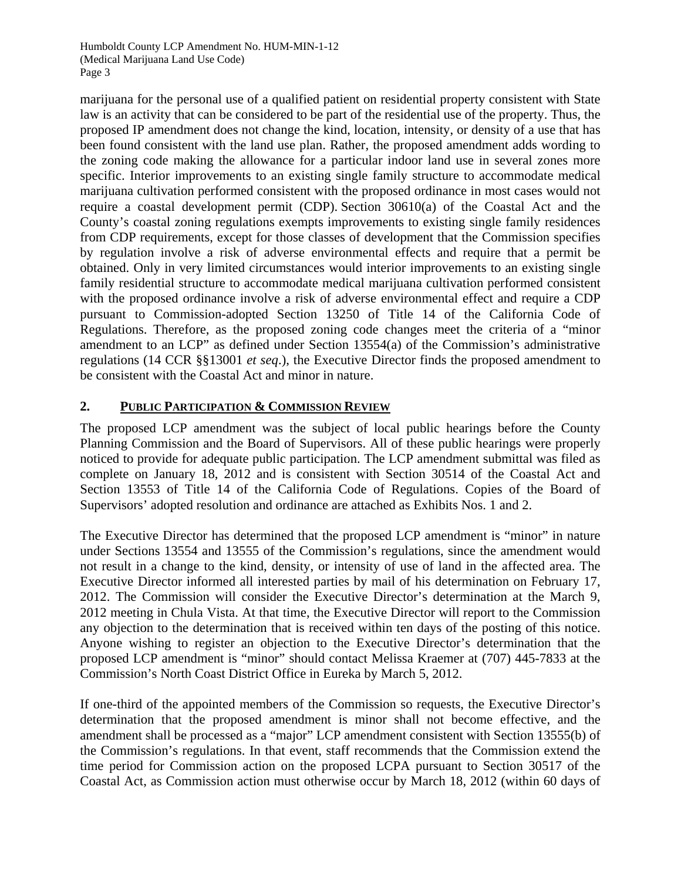Humboldt County LCP Amendment No. HUM-MIN-1-12 (Medical Marijuana Land Use Code) Page 3

marijuana for the personal use of a qualified patient on residential property consistent with State law is an activity that can be considered to be part of the residential use of the property. Thus, the proposed IP amendment does not change the kind, location, intensity, or density of a use that has been found consistent with the land use plan. Rather, the proposed amendment adds wording to the zoning code making the allowance for a particular indoor land use in several zones more specific. Interior improvements to an existing single family structure to accommodate medical marijuana cultivation performed consistent with the proposed ordinance in most cases would not require a coastal development permit (CDP). Section 30610(a) of the Coastal Act and the County's coastal zoning regulations exempts improvements to existing single family residences from CDP requirements, except for those classes of development that the Commission specifies by regulation involve a risk of adverse environmental effects and require that a permit be obtained. Only in very limited circumstances would interior improvements to an existing single family residential structure to accommodate medical marijuana cultivation performed consistent with the proposed ordinance involve a risk of adverse environmental effect and require a CDP pursuant to Commission-adopted Section 13250 of Title 14 of the California Code of Regulations. Therefore, as the proposed zoning code changes meet the criteria of a "minor amendment to an LCP" as defined under Section 13554(a) of the Commission's administrative regulations (14 CCR §§13001 *et seq*.), the Executive Director finds the proposed amendment to be consistent with the Coastal Act and minor in nature.

# **2. PUBLIC PARTICIPATION & COMMISSION REVIEW**

The proposed LCP amendment was the subject of local public hearings before the County Planning Commission and the Board of Supervisors. All of these public hearings were properly noticed to provide for adequate public participation. The LCP amendment submittal was filed as complete on January 18, 2012 and is consistent with Section 30514 of the Coastal Act and Section 13553 of Title 14 of the California Code of Regulations. Copies of the Board of Supervisors' adopted resolution and ordinance are attached as Exhibits Nos. 1 and 2.

The Executive Director has determined that the proposed LCP amendment is "minor" in nature under Sections 13554 and 13555 of the Commission's regulations, since the amendment would not result in a change to the kind, density, or intensity of use of land in the affected area. The Executive Director informed all interested parties by mail of his determination on February 17, 2012. The Commission will consider the Executive Director's determination at the March 9, 2012 meeting in Chula Vista. At that time, the Executive Director will report to the Commission any objection to the determination that is received within ten days of the posting of this notice. Anyone wishing to register an objection to the Executive Director's determination that the proposed LCP amendment is "minor" should contact Melissa Kraemer at (707) 445-7833 at the Commission's North Coast District Office in Eureka by March 5, 2012.

If one-third of the appointed members of the Commission so requests, the Executive Director's determination that the proposed amendment is minor shall not become effective, and the amendment shall be processed as a "major" LCP amendment consistent with Section 13555(b) of the Commission's regulations. In that event, staff recommends that the Commission extend the time period for Commission action on the proposed LCPA pursuant to Section 30517 of the Coastal Act, as Commission action must otherwise occur by March 18, 2012 (within 60 days of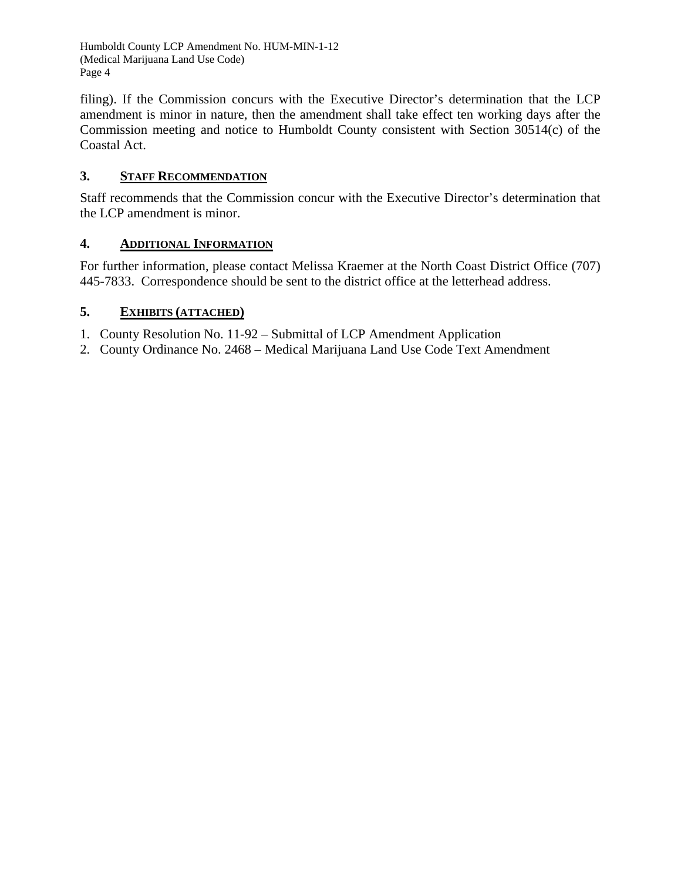Humboldt County LCP Amendment No. HUM-MIN-1-12 (Medical Marijuana Land Use Code) Page 4

filing). If the Commission concurs with the Executive Director's determination that the LCP amendment is minor in nature, then the amendment shall take effect ten working days after the Commission meeting and notice to Humboldt County consistent with Section 30514(c) of the Coastal Act.

# **3. STAFF RECOMMENDATION**

Staff recommends that the Commission concur with the Executive Director's determination that the LCP amendment is minor.

# **4. ADDITIONAL INFORMATION**

For further information, please contact Melissa Kraemer at the North Coast District Office (707) 445-7833. Correspondence should be sent to the district office at the letterhead address.

# **5. EXHIBITS (ATTACHED)**

- 1. County Resolution No. 11-92 Submittal of LCP Amendment Application
- 2. County Ordinance No. 2468 Medical Marijuana Land Use Code Text Amendment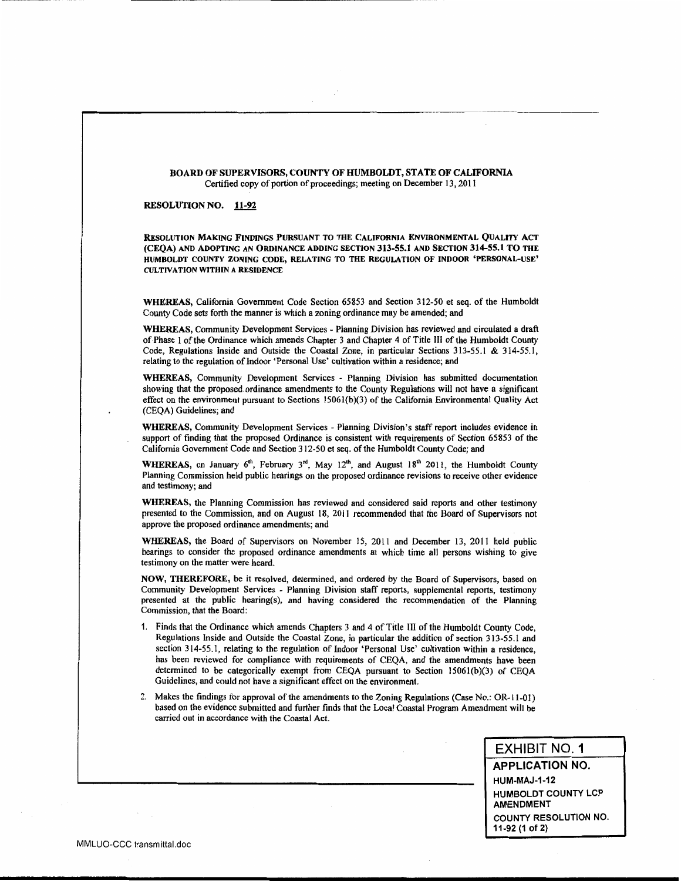#### BOARD OF SUPERVISORS, COUNTY OF HUMBOLDT, STATE OF CALIFORNIA Certified copy of portion of proceedings; meeting on December 13, 2011

#### **RESOLUTION NO. 11-92**

RESOLUTION MAKING FINDINGS PURSUANT TO THE CALIFORNIA ENVIRONMENTAL QUALITY ACT (CEOA) AND ADOPTING AN ORDINANCE ADDING SECTION 313-55.1 AND SECTION 314-55.1 TO THE HUMBOLDT COUNTY ZONING CODE, RELATING TO THE REGULATION OF INDOOR 'PERSONAL-USE' **CULTIVATION WITHIN A RESIDENCE** 

WHEREAS, California Government Code Section 65853 and Section 312-50 et seq. of the Humboldt County Code sets forth the manner is which a zoning ordinance may be amended; and

WHEREAS, Community Development Services - Planning Division has reviewed and circulated a draft of Phase I of the Ordinance which amends Chapter 3 and Chapter 4 of Title III of the Humboldt County Code, Regulations Inside and Outside the Coastal Zone, in particular Sections 313-55.1 & 314-55.1, relating to the regulation of Indoor 'Personal Use' cultivation within a residence; and

WHEREAS, Community Development Services - Planning Division has submitted documentation showing that the proposed ordinance amendments to the County Regulations will not have a significant effect on the environment pursuant to Sections 15061(b)(3) of the California Environmental Quality Act (CEQA) Guidelines; and

WHEREAS, Community Development Services - Planning Division's staff report includes evidence in support of finding that the proposed Ordinance is consistent with requirements of Section 65853 of the California Government Code and Section 312-50 et seq. of the Humboldt County Code; and

WHEREAS, on January 6<sup>th</sup>, February 3<sup>rd</sup>, May 12<sup>th</sup>, and August 18<sup>th</sup> 2011, the Humboldt County Planning Commission held public hearings on the proposed ordinance revisions to receive other evidence and testimony; and

WHEREAS, the Planning Commission has reviewed and considered said reports and other testimony presented to the Commission, and on August 18, 2011 recommended that the Board of Supervisors not approve the proposed ordinance amendments; and

WHEREAS, the Board of Supervisors on November 15, 2011 and December 13, 2011 held public hearings to consider the proposed ordinance amendments at which time all persons wishing to give testimony on the matter were heard.

NOW, THEREFORE, be it resolved, determined, and ordered by the Board of Supervisors, based on Community Development Services - Planning Division staff reports, supplemental reports, testimony presented at the public hearing(s), and having considered the recommendation of the Planning Commission, that the Board:

- 1. Finds that the Ordinance which amends Chapters 3 and 4 of Title III of the Humboldt County Code. Regulations Inside and Outside the Coastal Zone, in particular the addition of section 313-55.1 and section 314-55.1, relating to the regulation of Indoor 'Personal Use' cultivation within a residence, has been reviewed for compliance with requirements of CEQA, and the amendments have been determined to be categorically exempt from CEQA pursuant to Section 15061(b)(3) of CEQA Guidelines, and could not have a significant effect on the environment.
- 2. Makes the findings for approval of the amendments to the Zoning Regulations (Case No.: OR-11-01) based on the evidence submitted and further finds that the Local Coastal Program Amendment will be carried out in accordance with the Coastal Act.

## **EXHIBIT NO. 1**

**APPLICATION NO.** 

**HUM-MAJ-1-12 HUMBOLDT COUNTY LCP AMENDMENT COUNTY RESOLUTION NO.** 11-92 (1 of 2)

 $\sim$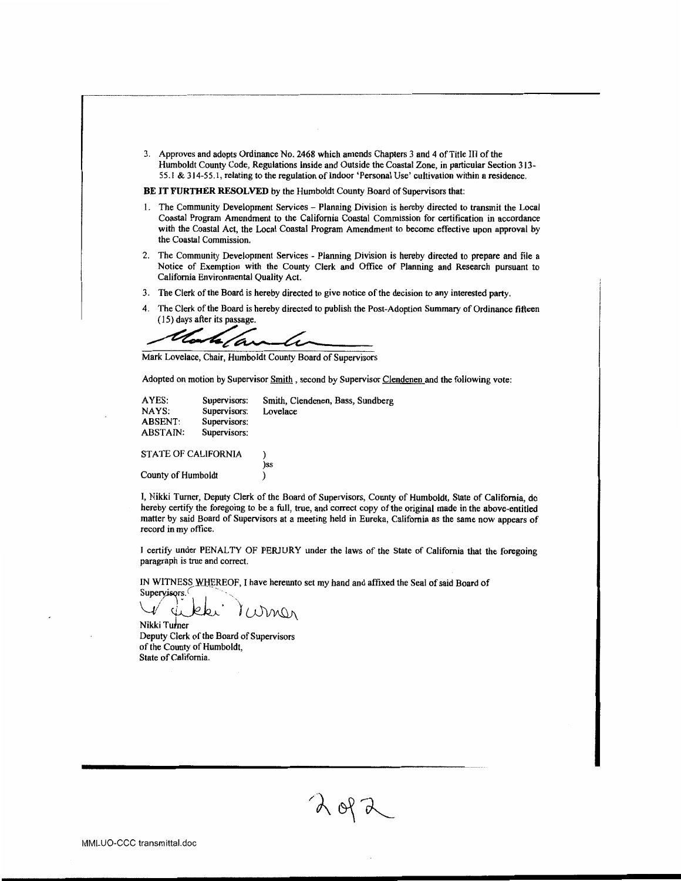3. Approves and adopts Ordinance No. 2468 which amends Chapters 3 and 4 of Title III of the Humboldt County Code, Regulations Inside and Outside the Coastal Zone, in particular Section 313-55.1 & 314-55.1, relating to the regulation of Indoor 'Personal Use' cultivation within a residence.

BE IT FURTHER RESOLVED by the Humboldt County Board of Supervisors that:

- 1. The Community Development Services Planning Division is hereby directed to transmit the Local Coastal Program Amendment to the California Coastal Commission for certification in accordance with the Coastal Act, the Local Coastal Program Amendment to become effective upon approval by the Coastal Commission.
- 2. The Community Development Services Planning Division is hereby directed to prepare and file a Notice of Exemption with the County Clerk and Office of Planning and Research pursuant to California Environmental Quality Act.
- The Clerk of the Board is hereby directed to give notice of the decision to any interested party.  $3.$
- 4. The Clerk of the Board is hereby directed to publish the Post-Adoption Summary of Ordinance fifteen (15) days after its passage.

t <u>t</u> ta/ai

Mark Lovelace, Chair, Humboldt County Board of Supervisors

Adopted on motion by Supervisor Smith, second by Supervisor Clendenen and the following vote:

| AYES:<br>NAYS:<br><b>ABSENT:</b><br>ABSTAIN: | Supervisors:<br>Supervisors:<br>Supervisors:<br>Supervisors: | Smith, Clendenen, Bass, Sundberg<br>Lovelace |
|----------------------------------------------|--------------------------------------------------------------|----------------------------------------------|
| <b>STATE OF CALIFORNIA</b>                   |                                                              |                                              |
| County of Humboldt                           |                                                              | )ss                                          |

I, Nikki Turner, Deputy Clerk of the Board of Supervisors, County of Humboldt, State of California, do hereby certify the foregoing to be a full, true, and correct copy of the original made in the above-entitled matter by said Board of Supervisors at a meeting held in Eureka, California as the same now appears of record in my office.

I certify under PENALTY OF PERJURY under the laws of the State of California that the foregoing paragraph is true and correct.

IN WITNESS WHEREOF, I have hereunto set my hand and affixed the Seal of said Board of

Supervisors. Mona

Nikki Turner Deputy Clerk of the Board of Supervisors of the County of Humboldt. State of California.

 $2072$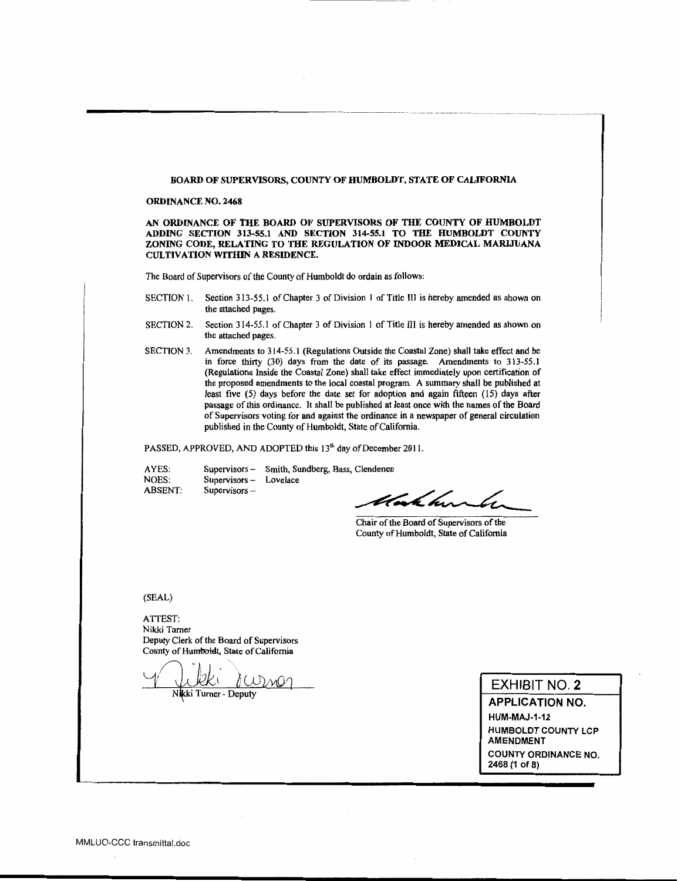#### BOARD OF SUPERVISORS, COUNTY OF HUMBOLDT, STATE OF CALIFORNIA

#### **ORDINANCE NO. 2468**

AN ORDINANCE OF THE BOARD OF SUPERVISORS OF THE COUNTY OF HUMBOLDT ADDING SECTION 313-55.1 AND SECTION 314-55.1 TO THE HUMBOLDT COUNTY ZONING CODE, RELATING TO THE REGULATION OF INDOOR MEDICAL MARIJUANA **CULTIVATION WITHIN A RESIDENCE.** 

The Board of Supervisors of the County of Humboldt do ordain as follows:

- Section 313-55.1 of Chapter 3 of Division 1 of Title III is hereby amended as shown on SECTION 1. the attached pages.
- Section 314-55.1 of Chapter 3 of Division 1 of Title III is hereby amended as shown on **SECTION 2.** the attached pages.
- Amendments to 314-55.1 (Regulations Outside the Coastal Zone) shall take effect and be **SECTION 3.** in force thirty (30) days from the date of its passage. Amendments to 313-55.1 (Regulations Inside the Coastal Zone) shall take effect immediately upon certification of the proposed amendments to the local coastal program. A summary shall be published at least five (5) days before the date set for adoption and again fifteen (15) days after passage of this ordinance. It shall be published at least once with the names of the Board of Supervisors voting for and against the ordinance in a newspaper of general circulation published in the County of Humboldt, State of California.

PASSED, APPROVED, AND ADOPTED this 13<sup>th</sup> day of December 2011.

Supervisors - Smith, Sundberg, Bass, Clendenen AYES: NOES: Supervisors - Lovelace **ABSENT:** Supervisors-

tak here le

Chair of the Board of Supervisors of the County of Humboldt, State of California

 $(SEAL)$ 

ATTEST: Nikki Turner Deputy Clerk of the Board of Supervisors County of Humboldt, State of California

Nikki Turner - Deputy

**EXHIBIT NO. 2** 

**APPLICATION NO. HUM-MAJ-1-12 HUMBOLDT COUNTY LCP AMENDMENT COUNTY ORDINANCE NO.** 2468 (1 of 8)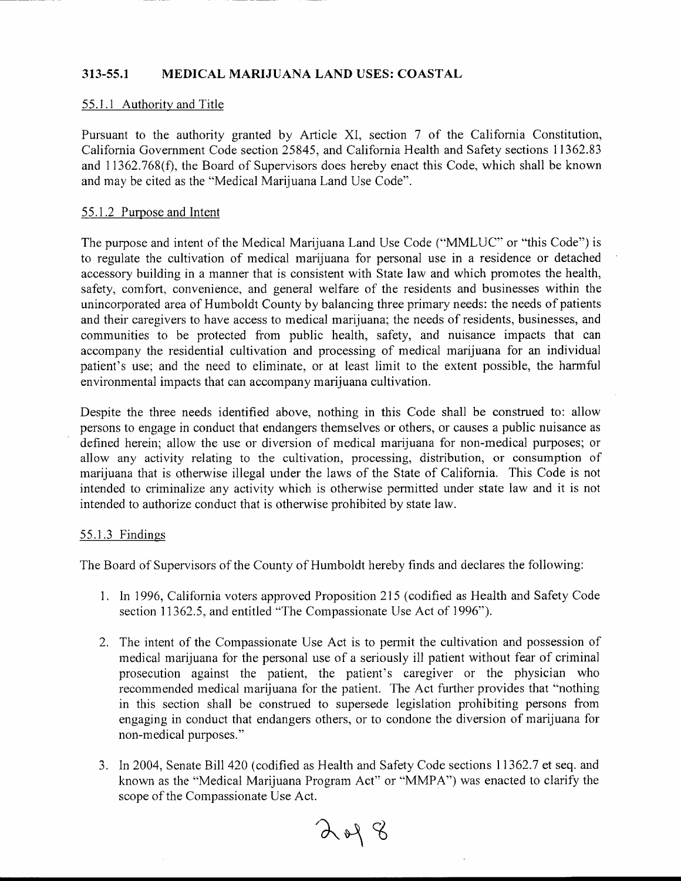#### 313-55.1 **MEDICAL MARIJUANA LAND USES: COASTAL**

## 55.1.1 Authority and Title

Pursuant to the authority granted by Article XI, section 7 of the California Constitution, California Government Code section 25845, and California Health and Safety sections 11362.83 and 11362.768(f), the Board of Supervisors does hereby enact this Code, which shall be known and may be cited as the "Medical Marijuana Land Use Code".

## 55.1.2 Purpose and Intent

The purpose and intent of the Medical Marijuana Land Use Code ("MMLUC" or "this Code") is to regulate the cultivation of medical marijuana for personal use in a residence or detached accessory building in a manner that is consistent with State law and which promotes the health, safety, comfort, convenience, and general welfare of the residents and businesses within the unincorporated area of Humboldt County by balancing three primary needs: the needs of patients and their caregivers to have access to medical marijuana; the needs of residents, businesses, and communities to be protected from public health, safety, and nuisance impacts that can accompany the residential cultivation and processing of medical marijuana for an individual patient's use; and the need to eliminate, or at least limit to the extent possible, the harmful environmental impacts that can accompany marijuana cultivation.

Despite the three needs identified above, nothing in this Code shall be construed to: allow persons to engage in conduct that endangers themselves or others, or causes a public nuisance as defined herein; allow the use or diversion of medical marijuana for non-medical purposes; or allow any activity relating to the cultivation, processing, distribution, or consumption of marijuana that is otherwise illegal under the laws of the State of California. This Code is not intended to criminalize any activity which is otherwise permitted under state law and it is not intended to authorize conduct that is otherwise prohibited by state law.

## 55.1.3 Findings

The Board of Supervisors of the County of Humboldt hereby finds and declares the following:

- 1. In 1996, California voters approved Proposition 215 (codified as Health and Safety Code section 11362.5, and entitled "The Compassionate Use Act of 1996").
- 2. The intent of the Compassionate Use Act is to permit the cultivation and possession of medical marijuana for the personal use of a seriously ill patient without fear of criminal prosecution against the patient, the patient's caregiver or the physician who recommended medical marijuana for the patient. The Act further provides that "nothing in this section shall be construed to supersede legislation prohibiting persons from engaging in conduct that endangers others, or to condone the diversion of marijuana for non-medical purposes."
- 3. In 2004, Senate Bill 420 (codified as Health and Safety Code sections 11362.7 et seq. and known as the "Medical Marijuana Program Act" or "MMPA") was enacted to clarify the scope of the Compassionate Use Act.

 $2048$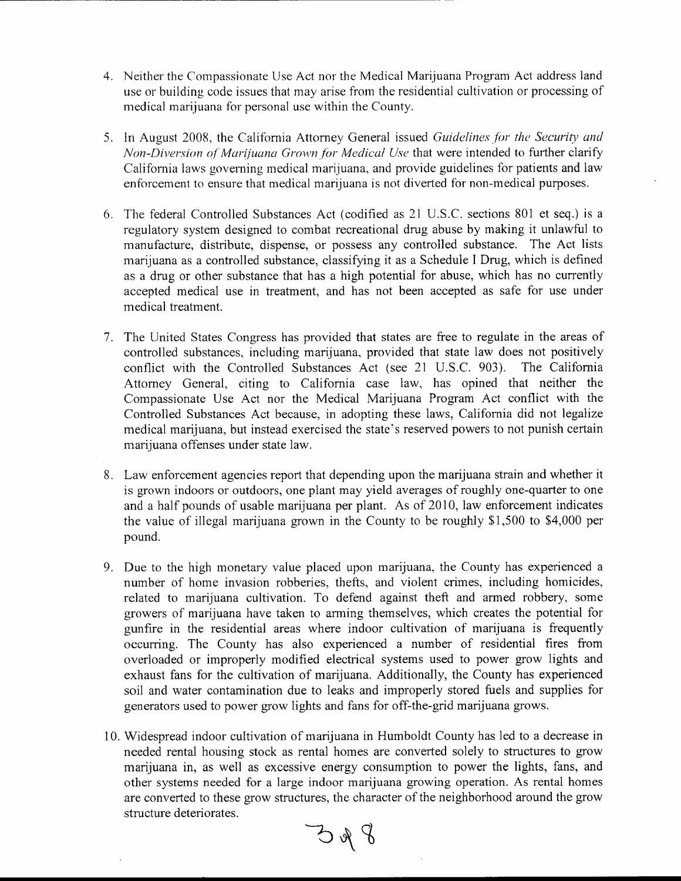- 4. Neither the Compassionate Use Act nor the Medical Marijuana Program Act address land use or building code issues that may arise from the residential cultivation or processing of medical marijuana for personal use within the County.
- 5. In August 2008, the California Attorney General issued Guidelines for the Security and Non-Diversion of Marijuana Grown for Medical Use that were intended to further clarify California laws governing medical marijuana, and provide guidelines for patients and law enforcement to ensure that medical marijuana is not diverted for non-medical purposes.
- 6. The federal Controlled Substances Act (codified as 21 U.S.C. sections 801 et seq.) is a regulatory system designed to combat recreational drug abuse by making it unlawful to manufacture, distribute, dispense, or possess any controlled substance. The Act lists marijuana as a controlled substance, classifying it as a Schedule I Drug, which is defined as a drug or other substance that has a high potential for abuse, which has no currently accepted medical use in treatment, and has not been accepted as safe for use under medical treatment.
- 7. The United States Congress has provided that states are free to regulate in the areas of controlled substances, including marijuana, provided that state law does not positively conflict with the Controlled Substances Act (see 21 U.S.C. 903). The California Attorney General, citing to California case law, has opined that neither the Compassionate Use Act nor the Medical Marijuana Program Act conflict with the Controlled Substances Act because, in adopting these laws, California did not legalize medical marijuana, but instead exercised the state's reserved powers to not punish certain marijuana offenses under state law.
- 8. Law enforcement agencies report that depending upon the marijuana strain and whether it is grown indoors or outdoors, one plant may yield averages of roughly one-quarter to one and a half pounds of usable marijuana per plant. As of 2010, law enforcement indicates the value of illegal marijuana grown in the County to be roughly \$1,500 to \$4,000 per pound.
- 9. Due to the high monetary value placed upon marijuana, the County has experienced a number of home invasion robberies, thefts, and violent crimes, including homicides, related to marijuana cultivation. To defend against theft and armed robbery, some growers of marijuana have taken to arming themselves, which creates the potential for gunfire in the residential areas where indoor cultivation of marijuana is frequently occurring. The County has also experienced a number of residential fires from overloaded or improperly modified electrical systems used to power grow lights and exhaust fans for the cultivation of marijuana. Additionally, the County has experienced soil and water contamination due to leaks and improperly stored fuels and supplies for generators used to power grow lights and fans for off-the-grid marijuana grows.
- 10. Widespread indoor cultivation of marijuana in Humboldt County has led to a decrease in needed rental housing stock as rental homes are converted solely to structures to grow marijuana in, as well as excessive energy consumption to power the lights, fans, and other systems needed for a large indoor marijuana growing operation. As rental homes are converted to these grow structures, the character of the neighborhood around the grow structure deteriorates.

 $\partial^2\phi$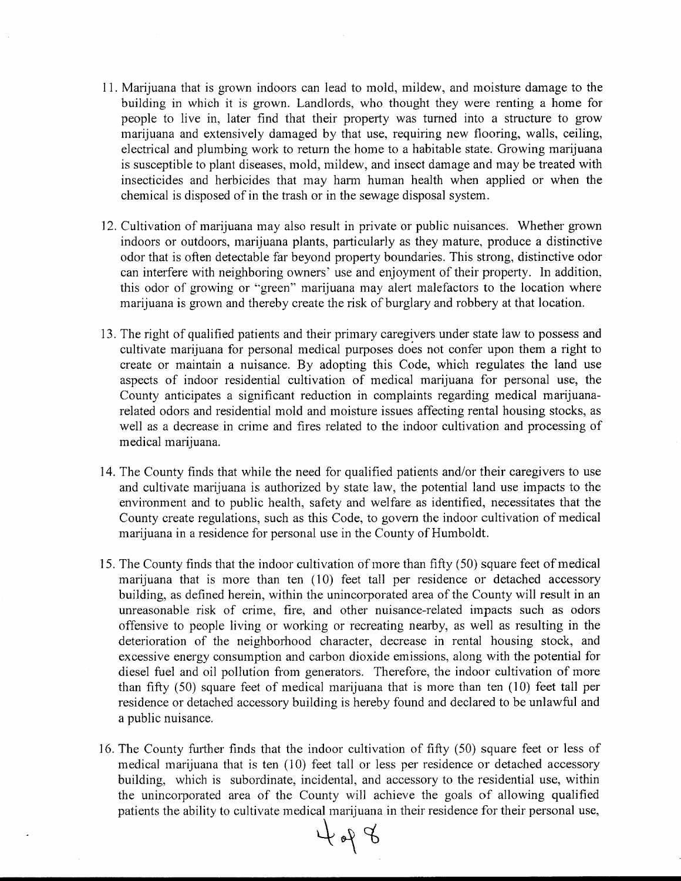- 11. Marijuana that is grown indoors can lead to mold, mildew, and moisture damage to the building in which it is grown. Landlords, who thought they were renting a home for people to live in, later find that their property was turned into a structure to grow marijuana and extensively damaged by that use, requiring new flooring, walls, ceiling, electrical and plumbing work to return the home to a habitable state. Growing marijuana is susceptible to plant diseases, mold, mildew, and insect damage and may be treated with insecticides and herbicides that may harm human health when applied or when the chemical is disposed of in the trash or in the sewage disposal system.
- 12. Cultivation of marijuana may also result in private or public nuisances. Whether grown indoors or outdoors, marijuana plants, particularly as they mature, produce a distinctive odor that is often detectable far beyond property boundaries. This strong, distinctive odor can interfere with neighboring owners' use and enjoyment of their property. In addition, this odor of growing or "green" marijuana may alert malefactors to the location where marijuana is grown and thereby create the risk of burglary and robbery at that location.
- 13. The right of qualified patients and their primary caregivers under state law to possess and cultivate marijuana for personal medical purposes does not confer upon them a right to create or maintain a nuisance. By adopting this Code, which regulates the land use aspects of indoor residential cultivation of medical marijuana for personal use, the County anticipates a significant reduction in complaints regarding medical marijuanarelated odors and residential mold and moisture issues affecting rental housing stocks, as well as a decrease in crime and fires related to the indoor cultivation and processing of medical marijuana.
- 14. The County finds that while the need for qualified patients and/or their caregivers to use and cultivate marijuana is authorized by state law, the potential land use impacts to the environment and to public health, safety and welfare as identified, necessitates that the County create regulations, such as this Code, to govern the indoor cultivation of medical marijuana in a residence for personal use in the County of Humboldt.
- 15. The County finds that the indoor cultivation of more than fifty (50) square feet of medical marijuana that is more than ten (10) feet tall per residence or detached accessory building, as defined herein, within the unincorporated area of the County will result in an unreasonable risk of crime, fire, and other nuisance-related impacts such as odors offensive to people living or working or recreating nearby, as well as resulting in the deterioration of the neighborhood character, decrease in rental housing stock, and excessive energy consumption and carbon dioxide emissions, along with the potential for diesel fuel and oil pollution from generators. Therefore, the indoor cultivation of more than fifty  $(50)$  square feet of medical marijuana that is more than ten  $(10)$  feet tall per residence or detached accessory building is hereby found and declared to be unlawful and a public nuisance.
- 16. The County further finds that the indoor cultivation of fifty (50) square feet or less of medical marijuana that is ten (10) feet tall or less per residence or detached accessory building, which is subordinate, incidental, and accessory to the residential use, within the unincorporated area of the County will achieve the goals of allowing qualified patients the ability to cultivate medical marijuana in their residence for their personal use,

 $\partial \rho$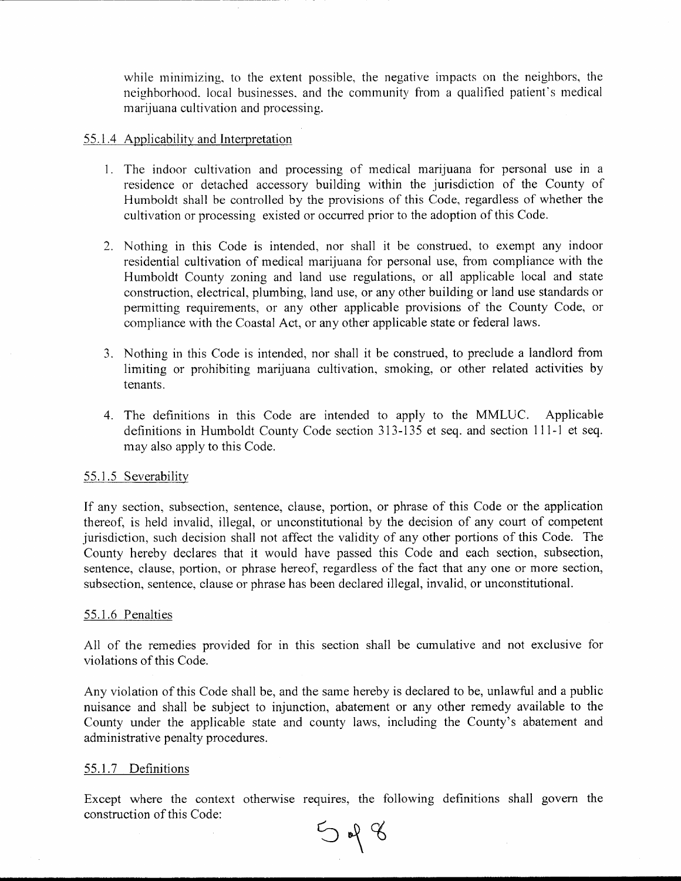while minimizing, to the extent possible, the negative impacts on the neighbors, the neighborhood, local businesses, and the community from a qualified patient's medical marijuana cultivation and processing.

## 55.1.4 Applicability and Interpretation

- 1. The indoor cultivation and processing of medical marijuana for personal use in a residence or detached accessory building within the jurisdiction of the County of Humboldt shall be controlled by the provisions of this Code, regardless of whether the cultivation or processing existed or occurred prior to the adoption of this Code.
- 2. Nothing in this Code is intended, nor shall it be construed, to exempt any indoor residential cultivation of medical marijuana for personal use, from compliance with the Humboldt County zoning and land use regulations, or all applicable local and state construction, electrical, plumbing, land use, or any other building or land use standards or permitting requirements, or any other applicable provisions of the County Code, or compliance with the Coastal Act, or any other applicable state or federal laws.
- 3. Nothing in this Code is intended, nor shall it be construed, to preclude a landlord from limiting or prohibiting marijuana cultivation, smoking, or other related activities by tenants.
- 4. The definitions in this Code are intended to apply to the MMLUC. Applicable definitions in Humboldt County Code section 313-135 et seq. and section 111-1 et seq. may also apply to this Code.

## 55.1.5 Severability

If any section, subsection, sentence, clause, portion, or phrase of this Code or the application thereof, is held invalid, illegal, or unconstitutional by the decision of any court of competent jurisdiction, such decision shall not affect the validity of any other portions of this Code. The County hereby declares that it would have passed this Code and each section, subsection, sentence, clause, portion, or phrase hereof, regardless of the fact that any one or more section, subsection, sentence, clause or phrase has been declared illegal, invalid, or unconstitutional.

### 55.1.6 Penalties

All of the remedies provided for in this section shall be cumulative and not exclusive for violations of this Code.

Any violation of this Code shall be, and the same hereby is declared to be, unlawful and a public nuisance and shall be subject to injunction, abatement or any other remedy available to the County under the applicable state and county laws, including the County's abatement and administrative penalty procedures.

## 55.1.7 Definitions

Except where the context otherwise requires, the following definitions shall govern the construction of this Code:

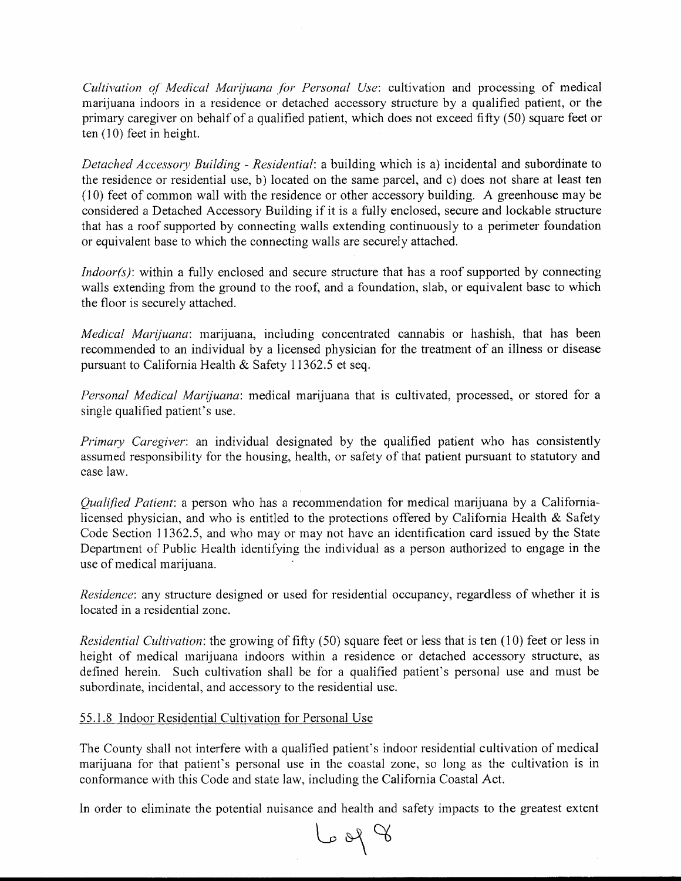Cultivation of Medical Marijuana for Personal Use: cultivation and processing of medical marijuana indoors in a residence or detached accessory structure by a qualified patient, or the primary caregiver on behalf of a qualified patient, which does not exceed fifty (50) square feet or ten  $(10)$  feet in height.

Detached Accessory Building - Residential: a building which is a) incidental and subordinate to the residence or residential use, b) located on the same parcel, and c) does not share at least ten (10) feet of common wall with the residence or other accessory building. A greenhouse may be considered a Detached Accessory Building if it is a fully enclosed, secure and lockable structure that has a roof supported by connecting walls extending continuously to a perimeter foundation or equivalent base to which the connecting walls are securely attached.

 $Indoor(s)$ : within a fully enclosed and secure structure that has a roof supported by connecting walls extending from the ground to the roof, and a foundation, slab, or equivalent base to which the floor is securely attached.

*Medical Marijuana*: marijuana, including concentrated cannabis or hashish, that has been recommended to an individual by a licensed physician for the treatment of an illness or disease pursuant to California Health & Safety 11362.5 et seq.

Personal Medical Marijuana: medical marijuana that is cultivated, processed, or stored for a single qualified patient's use.

Primary Caregiver: an individual designated by the qualified patient who has consistently assumed responsibility for the housing, health, or safety of that patient pursuant to statutory and case law.

*Qualified Patient*: a person who has a recommendation for medical marijuana by a Californialicensed physician, and who is entitled to the protections offered by California Health & Safety Code Section 11362.5, and who may or may not have an identification card issued by the State Department of Public Health identifying the individual as a person authorized to engage in the use of medical marijuana.

*Residence:* any structure designed or used for residential occupancy, regardless of whether it is located in a residential zone.

*Residential Cultivation:* the growing of fifty (50) square feet or less that is ten (10) feet or less in height of medical marijuana indoors within a residence or detached accessory structure, as defined herein. Such cultivation shall be for a qualified patient's personal use and must be subordinate, incidental, and accessory to the residential use.

# 55.1.8 Indoor Residential Cultivation for Personal Use

The County shall not interfere with a qualified patient's indoor residential cultivation of medical marijuana for that patient's personal use in the coastal zone, so long as the cultivation is in conformance with this Code and state law, including the California Coastal Act.

In order to eliminate the potential nuisance and health and safety impacts to the greatest extent

 $\beta$  po al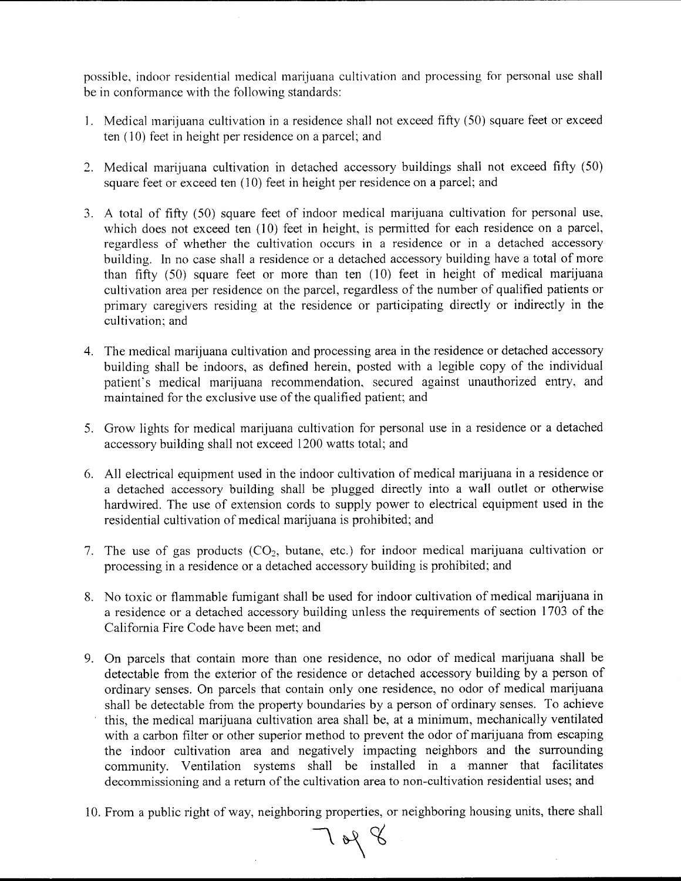possible, indoor residential medical marijuana cultivation and processing for personal use shall be in conformance with the following standards:

- 1. Medical marijuana cultivation in a residence shall not exceed fifty (50) square feet or exceed ten (10) feet in height per residence on a parcel; and
- 2. Medical marijuana cultivation in detached accessory buildings shall not exceed fifty (50) square feet or exceed ten (10) feet in height per residence on a parcel; and
- 3. A total of fifty (50) square feet of indoor medical marijuana cultivation for personal use, which does not exceed ten (10) feet in height, is permitted for each residence on a parcel, regardless of whether the cultivation occurs in a residence or in a detached accessory building. In no case shall a residence or a detached accessory building have a total of more than fifty (50) square feet or more than ten (10) feet in height of medical marijuana cultivation area per residence on the parcel, regardless of the number of qualified patients or primary caregivers residing at the residence or participating directly or indirectly in the cultivation: and
- 4. The medical marijuana cultivation and processing area in the residence or detached accessory building shall be indoors, as defined herein, posted with a legible copy of the individual patient's medical marijuana recommendation, secured against unauthorized entry, and maintained for the exclusive use of the qualified patient; and
- 5. Grow lights for medical marijuana cultivation for personal use in a residence or a detached accessory building shall not exceed 1200 watts total; and
- 6. All electrical equipment used in the indoor cultivation of medical marijuana in a residence or a detached accessory building shall be plugged directly into a wall outlet or otherwise hardwired. The use of extension cords to supply power to electrical equipment used in the residential cultivation of medical marijuana is prohibited; and
- 7. The use of gas products  $(CO_2$ , butane, etc.) for indoor medical marijuana cultivation or processing in a residence or a detached accessory building is prohibited; and
- 8. No toxic or flammable fumigant shall be used for indoor cultivation of medical marijuana in a residence or a detached accessory building unless the requirements of section 1703 of the California Fire Code have been met; and
- 9. On parcels that contain more than one residence, no odor of medical marijuana shall be detectable from the exterior of the residence or detached accessory building by a person of ordinary senses. On parcels that contain only one residence, no odor of medical marijuana shall be detectable from the property boundaries by a person of ordinary senses. To achieve this, the medical marijuana cultivation area shall be, at a minimum, mechanically ventilated with a carbon filter or other superior method to prevent the odor of marijuana from escaping the indoor cultivation area and negatively impacting neighbors and the surrounding community. Ventilation systems shall be installed in a manner that facilitates decommissioning and a return of the cultivation area to non-cultivation residential uses; and
- 10. From a public right of way, neighboring properties, or neighboring housing units, there shall

 $708$